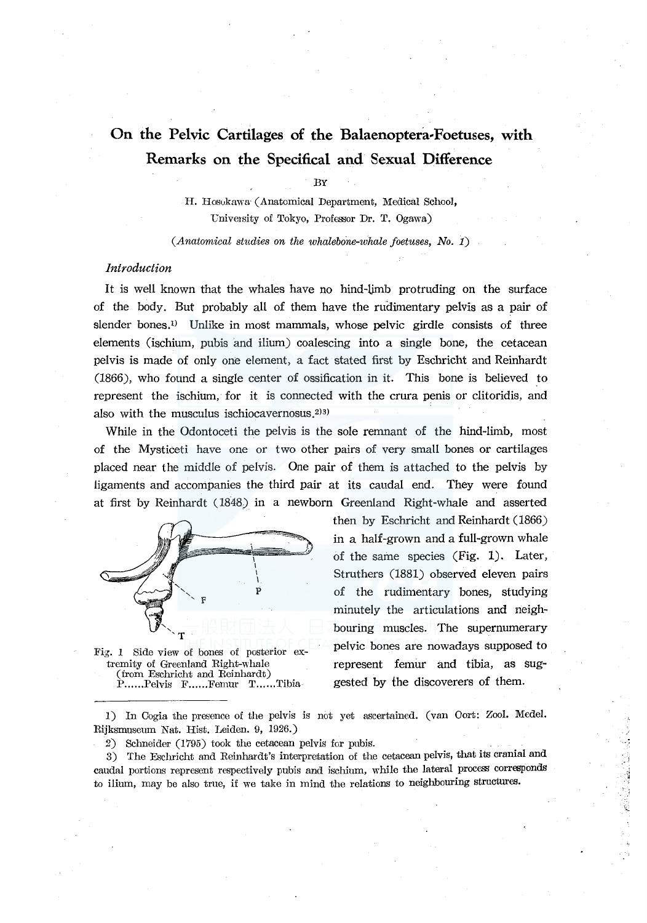# **On the Pelvic Cartilages of the Balaenoptera-Foetuses, with Remarks on the Specifical and Sexual Difference**

BY

H. Hosukawa· (Anatomical Department, Medical School, University of Tokyo, Professor Dr. T. Ogawa)

*(Anatomical studies on the whalebone-whale foetuses, No. 1)* 

#### *Introduction*

It is well known that the whales have no hind-limb protruding on the surface of the body. But probably all of them have the rudimentary pelvis as a pair of slender bones.<sup>1)</sup> Unlike in most mammals, whose pelvic girdle consists of three elements (ischium, pubis and ilium) coalescing into a single bone, the cetacean pelvis is made of only one element, a fact stated first by Eschricht and Reinhardt (1866), who found a single center of ossification in it. This bone is believed \_to represent the ischium, for it is connected with the crura penis or clitoridis, and also with the musculus ischiocavernosus.<sup>2)3)</sup>

While in the Odontoceti the pelvis is the sole remnant of the hind-limb, most of the Mysticeti have one or two other pairs of very small bones or cartilages placed near the middle of pelvis. One pair of them is attached to the pelvis by ligaments and accompanies the third pair at its caudal end. They were found at first by Reinhardt ( 1848) in a newborn Greenland Right-whale and asserted



Fig. I Side view of bones of posterior extremity of Greenland Right-whale (from Eschricht and Reinhardt) P......Pelvis F......Femur T......Tibia

then by Eschricht and Reinhardt (1866) in a half-grown and a full-grown whale of the same species (Fig. 1). Later, Struthers (1881) observed eleven pairs of the rudimentary bones, studying minutely the articulations and neighbouring muscles. The supernumerary pelvic bones are nowadays supposed to represent femur and tibia, as suggested by the discoverers of them.

1) In Cogia the presence of the pelvis is not yet ascertained. (van Oort: Zool. Medel. Rijksmuseum Nat. Hist. Leiden. 9, 1926.)

2) Schneider (1795) took the cetacean pelvis for pubis.

3) The Eschricht and Reinhardt's interpretation of the cetacean pelvis, that its cranial and caudal portions represent respectively pubis and ischium, while the lateral process corresponds to ilium, may be also true, if we take in mind the relations to neighbouring structureB.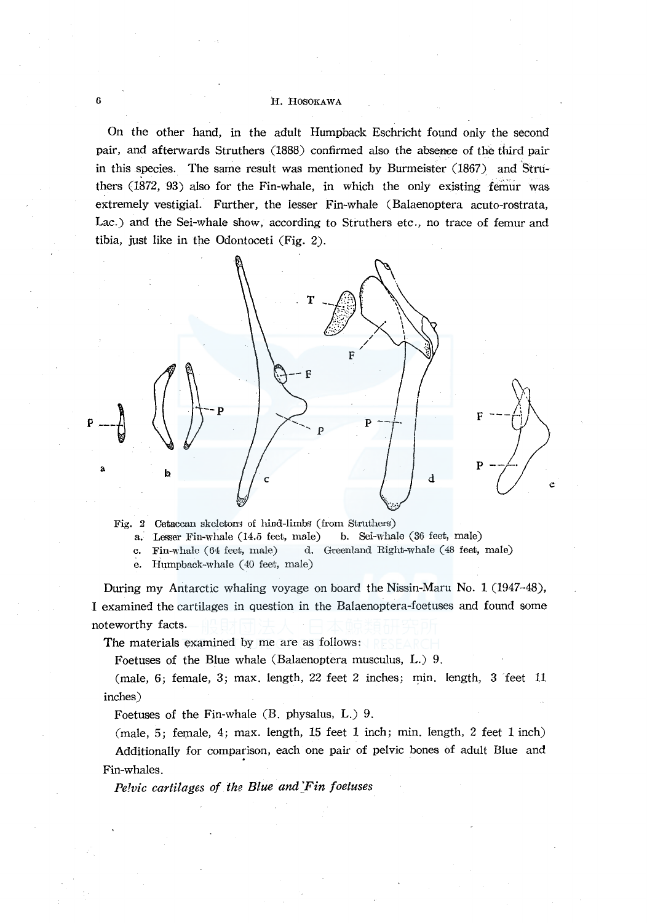On the other hand, in the adult Humpback Eschricht found only the second pair, and afterwards Struthers (1888) confirmed also the absence of the third pair in this species. The same result was mentioned by Burmeister (1867) and Struthers (1872, 93) also for the Fin-whale, in which the only existing femur was extremely vestigial. Further, the lesser Fin-whale (Balaenoptera acuto-rostrata, Lac.) and the Sei-whale show, according to Struthers etc., no trace of femur and tibia, just like in the Odontoceti (Fig. 2).



Fig. 2 Cetacean skeletons of hind-limbs (from Struthers)

a. Lesser Fin-whale (14.5 feet, male) b. Sei-whale (36 feet, male)

c. Fin-whale (64 feet, male) d. Greenland Right-whale (48 feet, male)

e. Humpback-whale (40 feet, male)

During my Antarctic whaling voyage on board the Nissin-Maru No. 1 (1947-48), I examined the cartilages in question in the Balaenoptera-foetuses and found some noteworthy facts.

The materials examined by me are as follows:

Foetuses of the Blue whale (Balaenoptera musculus, L.) 9.

(male, 6; female, 3; max. length, 22 feet 2 inches; min. length, 3 'feet 11 inches)

Foetuses of the Fin-whale (B. physalus, L.) 9.

 $(male, 5; female, 4; max. length, 15 feet 1 inch; min. length, 2 feet 1 inch)$ Additionally for comparison, each one pair of pelvic bones of adult Blue and Fin-whales.

*Pelvic cartilages of the Blue and Fin foetuses*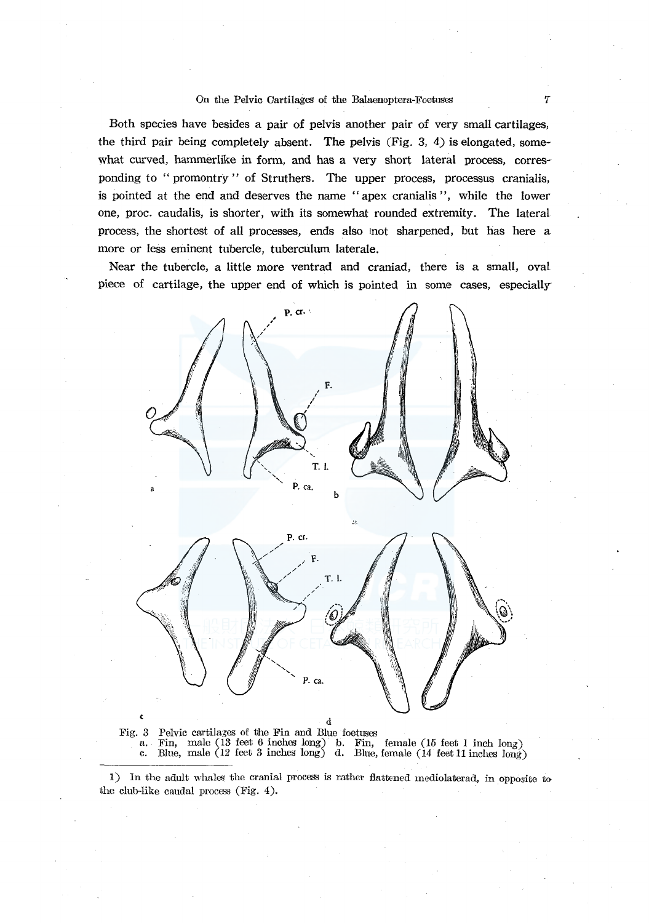Both species have besides a pair of pelvis another pair of very small cartilages, the third pair being completely absent. The pelvis (Fig. 3, 4) is elongated, somewhat curved, hammerlike in form, and has a very short lateral process, corresponding to "promontry" of Struthers. The upper process, processus cranialis, is pointed at the end and deserves the name " apex cranialis ", while the lower one, proc. caudalis, is shorter, with its somewhat rounded extremity. The lateral process, the shortest of all processes, ends also 1not sharpened, but has here a more or less eminent tubercle, tuberculum laterale.

Near the tubercle, a little more ventrad and craniad, there is a small, oval piece of cartilage, the upper end of which is pointed in some cases, especially



d<br>Pelvic cartilages of the Fin and Blue foetuses Fig. 3 Pelvic cartila5es of the Fin and Blue foetuses a. Fin, male (13 feet 6 inches long) b. Fin, female (15 feet I inch long) c. Blue, male (12 feet 3 inches long) d. Blue, female (14 feet 11 inches Jong)

1) In the adult whales the cranial process is rather flattened mediolaterad, in opposite to the club-like caudal process (Fig. 4).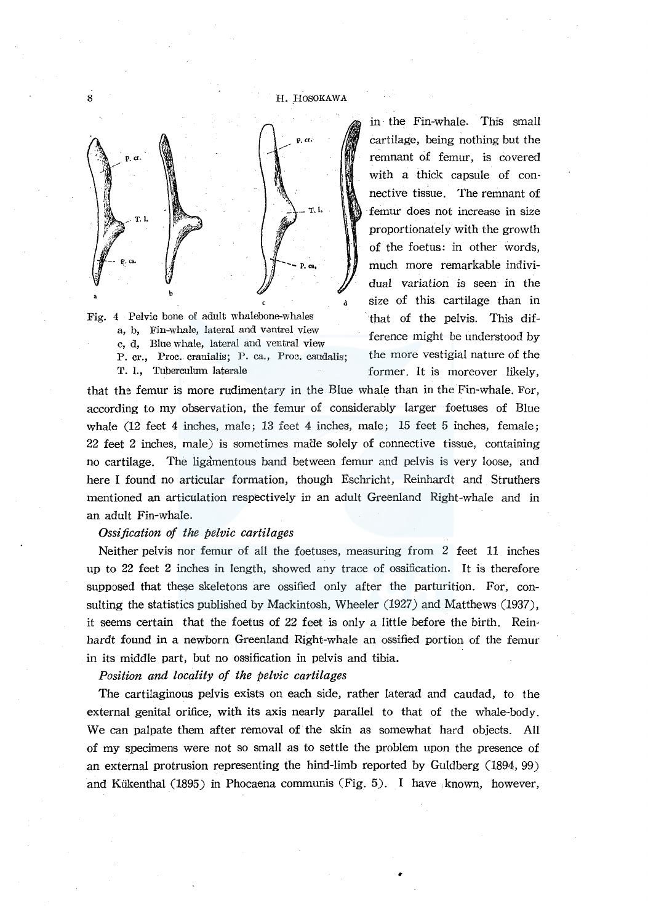

Fig. 4 Pelvic bone of adult whalebone-whales that of the pelvis. This difa, b, Fin-whale, lateral and vantrel view e, d, Blue whale, lateral and ventral view ference might be understood by<br>
e, d, Blue whale, lateral and ventral view ference might be understood by<br>
P. cr. Proc. cranialis: P. ca. Proc. candalis: the more vestigial nature P. cr., Proc. cranialis; P. ca., Proc. caudalis; T. I., Tuberculum laterale former. It is moreover likely,

in the Fin-whale. This small cartilage, being nothing but the remnant of femur, is covered with a thick capsule of connective tissue. The remnant of femur does not increase in size proportionately with the growth of the foetus: in other words, much more remarkable individual variation is seen in the size of this cartilage than in

that the femur is more rudimentary in the Blue whale than in the Fin-whale. For, according to my observation, the femur of considerably larger foetuses of Blue whale (12 feet 4 inches, male; 13 feet 4 inches, male; 15 feet 5 inches, female;  $22$  feet  $2$  inches, male) is sometimes made solely of connective tissue, containing no cartilage. The ligamentous band between femur and pelvis is very loose, and here I found no articular formation, though Eschricht, Reinhardt and Struthers mentioned an articulation respectively in an adult Greenland Right-whale and in an adult Fin-whale.

## *Ossification of the pelvic cartilages*

Neither pelvis nor femur of all the foetuses, measuring from 2 feet 11 inches up to 22 feet 2 inches in length, showed any trace of ossification. It is therefore supposed that these skeletons are ossified only after the parturition. For, consulting the statistics published by Mackintosh, Wheeler (1927) and Matthews (1937), it seems certain that the foetus of 22 feet is only a little before the birth. Rein· hardt found in a newborn Greenland Right-whale an ossified portion of the femur in its middle part, but no ossification in pelvis and tibia.

*Position and locality of the pelvic cartilages* 

The cartilaginous pelvis exists on each side, rather laterad and caudad, to the external genital orifice, with its axis nearly parallel to that of the whale-body. We can palpate them after removal of the skin as somewhat hard objects. All of my specimens were not so small as to settle the problem upon the presence of an external protrusion representing the hind-limb reported by Guldberg (1894, 99) and Kiikenthal (1895) in Phocaena communis (Fig. 5). I have ,known, however,

8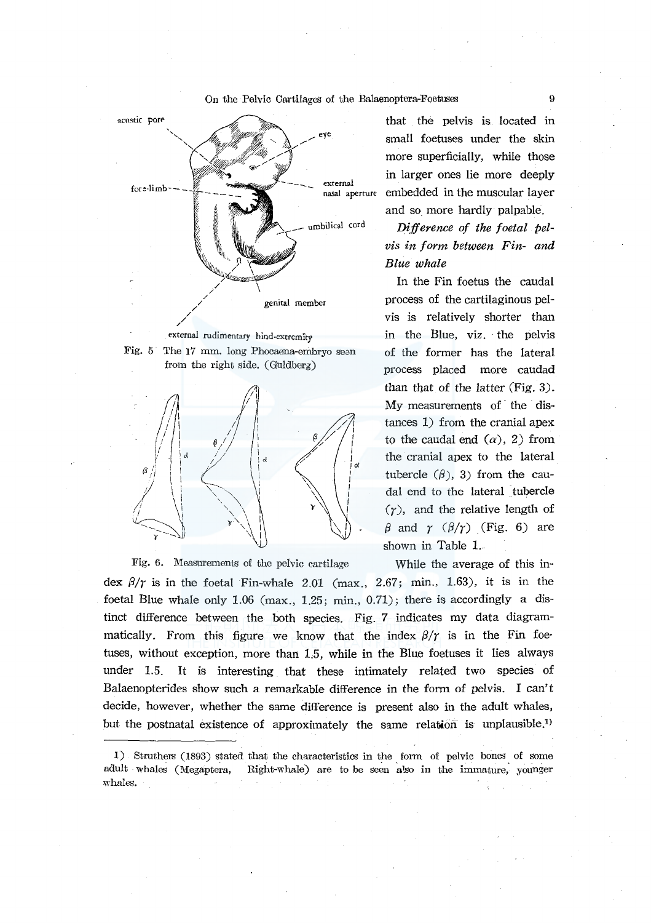



Fig. 6. Measurements of the pelvic cartilage While the average of this in-

that the pelvis is located in small foetuses under the skin more superficially, while those in larger ones lie more deeply embedded in the muscular layer and so more hardly palpable.

*Difjerence of the foetal pelvis in form between Fin- and Blue whale* 

In the Fin foetus the caudal process of the cartilaginous pelvis is relatively shorter than in the Blue, viz. the pelvis of the former has the lateral process placed more caudad than that of the latter (Fig. 3). My measurements of the distances 1) from the cranial apex to the caudal end  $(\alpha)$ , 2) from the cranial apex to the lateral tubercle  $(\beta)$ , 3) from the caudal end to the lateral tubercle  $(r)$ , and the relative length of  $\beta$  and  $\gamma$  ( $\beta/\gamma$ ) (Fig. 6) are shown in Table L

dex  $\beta/\gamma$  is in the foetal Fin-whale 2.01 (max., 2.67; min., 1.63), it is in the foetal Blue whale only 1.06 (max., 1.25; min., 0.71); there is accordingly a distinct difference between the both species. Fig. *7* indicates my data diagrammatically. From this figure we know that the index  $\beta/\gamma$  is in the Fin foetuses, without exception, more than 1.5, while in the Blue foetuses it lies always under 1.5. It is interesting that these intimately related two species of Balaenopterides show such a remarkable difference in the form of pelvis. I can't decide, however, whether the same difference is present also in the adult whales, but the postnatal existence of approximately the same relation is unplausible.<sup>1</sup>

1) Struthers (1893) stated that the characteristics in the form of pelvic bones of some adult whales (Megaptera, Right-whale) are to be seen also in the immature, younger :whales.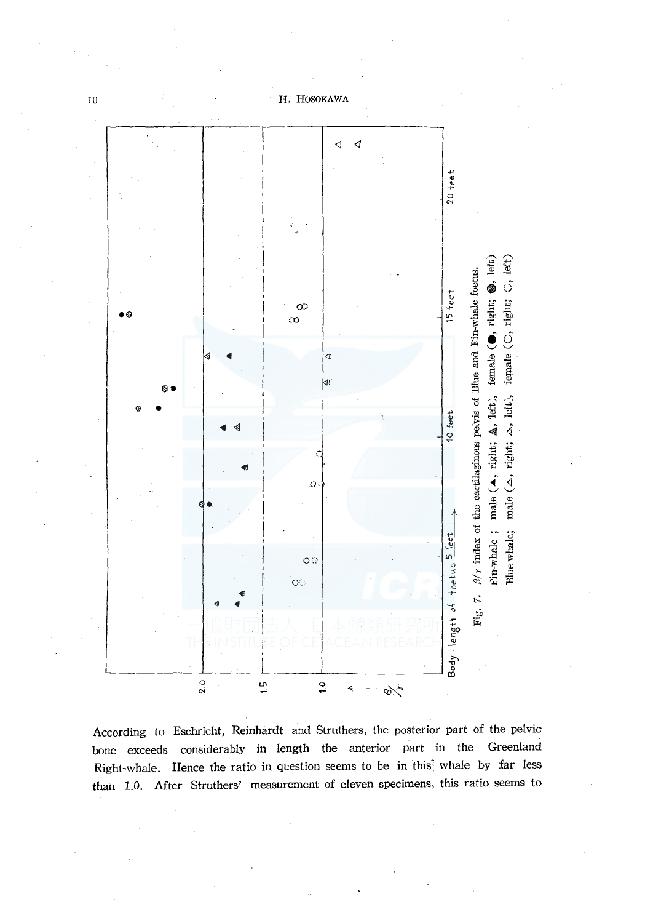

According to Eschricht, Reinhardt and Struthers, the posterior part of the pelvic bone exceeds considerably in length the anterior part in the Greenland Right-whale. Hence the ratio in question seems to be in this whale by far less than 1.0. After Struthers' measurement of eleven specimens, this ratio seems to

 $10$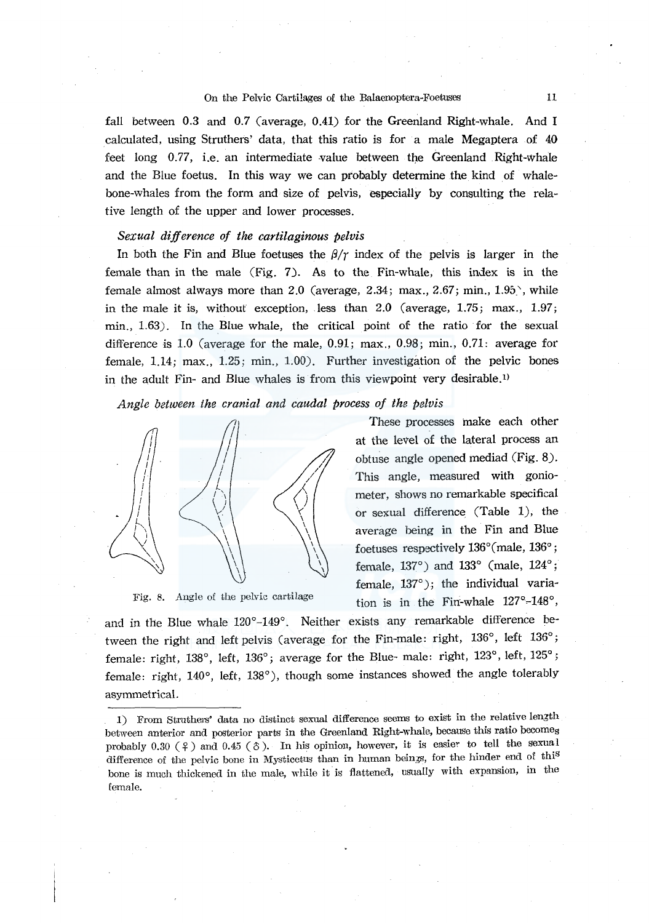fall between 0.3 and 0.7 (average, 0.41) for the Greenland Right-whale. And I calculated, using Struthers' data, that this ratio is for a male Megaptera of 40 feet long 0.77, i.e. an intermediate value between the Greenland Right-whale and the Blue foetus. In this way we can probably determine the kind of whalebone-whales from the form and size of pelvis, especially by consulting the relative length of the upper and lower processes.

## *Sexual difference of the cartilaginous pelvis*

In both the Fin and Blue foetuses the  $\beta/\gamma$  index of the pelvis is larger in the female than in the male (Fig. 7). As to the Fin-whale, this index is in the female almost always more than 2.0 (average, 2.34; max., 2.67; min.,  $1.95$ ), while in the male it is, without exception, less than 2.0 (average, 1.75; max., 1.97; min., 1.63). In the Blue whale, the critical point of the ratio for the sexual difference is 1.0 (average for the male, 0.91; max., 0.98; min., 0.71: average for female, 1.14; max., 1.25; min., 1.00). Further investigation of the pelvic bones in the adult Fin- and Blue whales is from this viewpoint very desirable.<sup>1)</sup>

*Angle between the cranial and caudal process of the pelvis* 



Fig. 8. Angle of the pelvic cartilage

These processes make each other at the level of the lateral process an obtuse angle opened mediad (Fig. 8). This angle, measured with goniometer, shows no remarkable specifical or sexual difference (Table 1), the average being in the Fin and Blue foetuses respectively 136°(male, 136°; female, 137°) and 133° (male, 124°; female, 137°); the individual variation is in the Fin-whale  $127^\circ$ -148°,

and in the Blue whale 120°-149°. Neither exists any remarkable difference between the right and left pelvis (average for the Fin-male: right, 136°, left 136°; female: right, 138°, left, 136°; average for the Blue- male: right, 123°, left, 125°; female: right, 140°, left, 138°), though some instances showed the angle tolerably asymmetrical.

<sup>1)</sup> From Struthers' data no distinct sexual difference seems to exist in the relative length between anterior and posterior parts in the Greenland Right-whale, because this ratio becomes probably 0.30  $(2)$  and 0.45  $(3)$ . In his opinion, however, it is easier to tell the sexual difference of the pelvic bone in Mysticetus than in human beings, for the hinder end of this bone is much thickened in the male, while it is flattened, usually with expansion, in the female.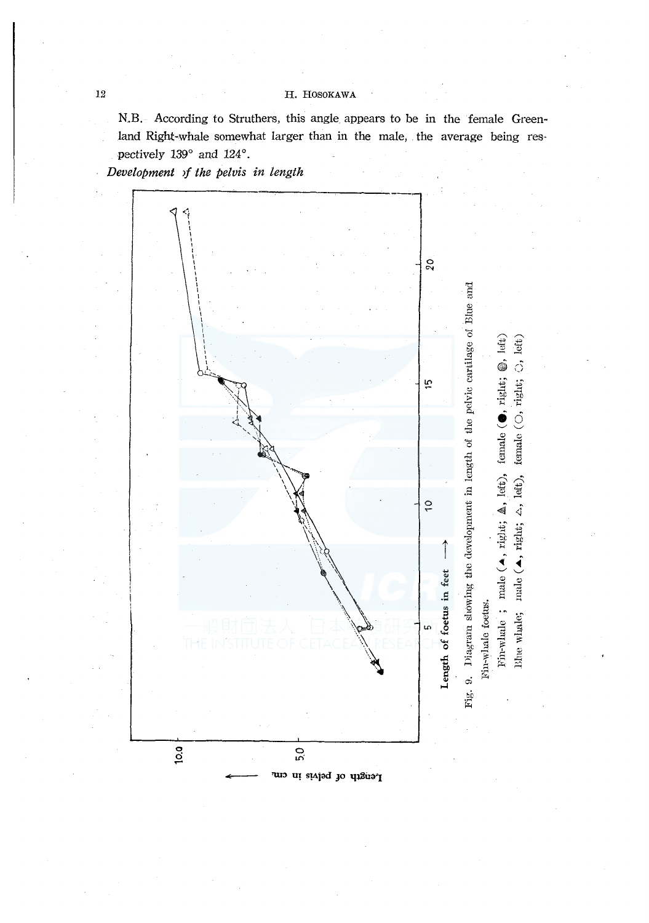N.B. According to Struthers, this angle appears to be in the female Greenland Right-whale somewhat larger than in the male, the average being respectively 139° and 124°.

Development of the pelvis in length



 $12\,$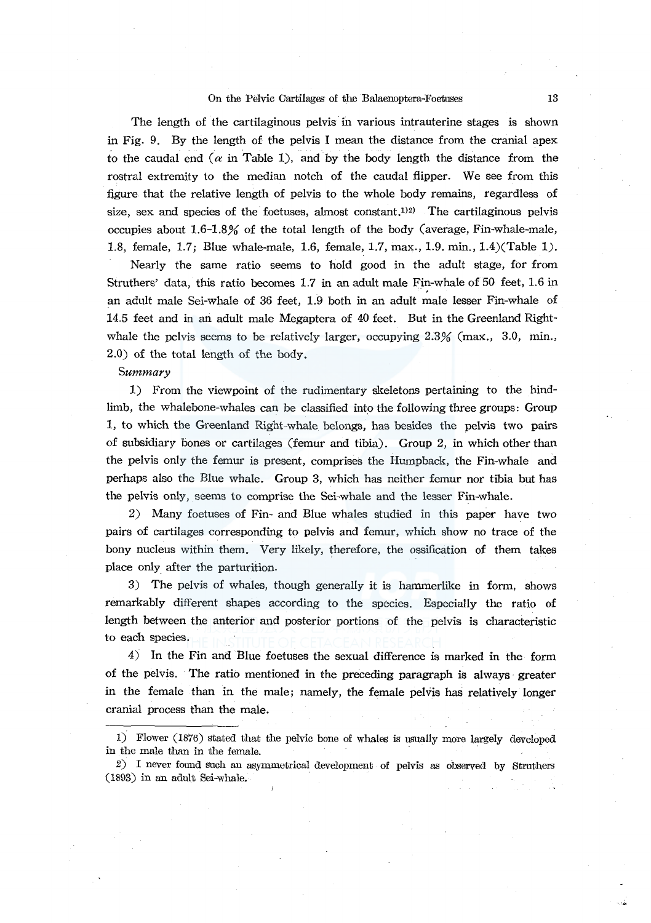The length of the cartilaginous pelvis in various intrauterine stages is shown in Fig. 9. By the length of the pelvis I mean the distance from the cranial apex to the caudal end  $(\alpha$  in Table 1), and by the body length the distance from the rostral extremity to the median notch of the caudal flipper. We see from this figure that the relative length of pelvis to the whole body remains, regardless of size, sex and species of the foetuses, almost constant.<sup>112)</sup> The cartilaginous pelvis occupies about 1.6-1.8% of the total length of the body (average, Fin-whale-male, 1.8, female, 1.7; Blue whale-male, 1.6, female, 1.7, max., 1.9. min., l.4)(Table 1).

Nearly the same ratio seems to hold good in the adult stage, for from Struthers' data, this ratio becomes 1.7 in an adult male Fin-whale of 50 feet, 1.6 in an adult male Sei-whale of 36 feet, 1.9 both in an adult male lesser Fin-whale of 14.5 feet and in an adult male Megaptera of 40 feet. But in the Greenland Rightwhale the pelvis seems to be relatively larger, occupying  $2.3\%$  (max., 3.0, min., 2.0) of the total length of the body.

#### Summary

1) From the viewpoint of the rudimentary skeletons pertaining to the hindlimb, the whalebone-whales can be classified into the following three groups: Group 1, to which the Greenland Right-whale belongs, has besides the pelvis two pairs of subsidiary bones or cartilages (femur and tibia). Group 2, in which other than the pelvis only the femur is present, comprises the Humpback, the Fin-whale and perhaps also the Blue whale. Group 3, which has neither femur nor tibia but has the pelvis only, seems to comprise the Sei-whale and the lesser Fin-whale.

2) Many foetuses of Fin- and Blue whales studied in this paper have two pairs of cartilages corresponding to pelvis and femur, which show no trace of the bony nucleus within them. Very likely, therefore, the ossification of them takes place only after the parturition.

3) The pelvis of whales, though generally it is hammerlike in form, shows remarkably different shapes according to the species. Especially the ratio of length between the anterior and posterior portions of the pelvis is characteristic to each species.

4) In the Fin and Blue foetuses the sexual difference is marked in the form of the pelvis. The ratio mentioned in the preceding paragraph is always· greater in the female than in the male; namely, the female pelvis has relatively longer cranial process than the male.

<sup>1)</sup> Flower (1876) stated that the pelvic bone of whales is usually more largely developed in the male than in the female.

 $2)$  I never found such an asymmetrical development of pelvis as observed by Struthers (1893) in an adult Sei-whale,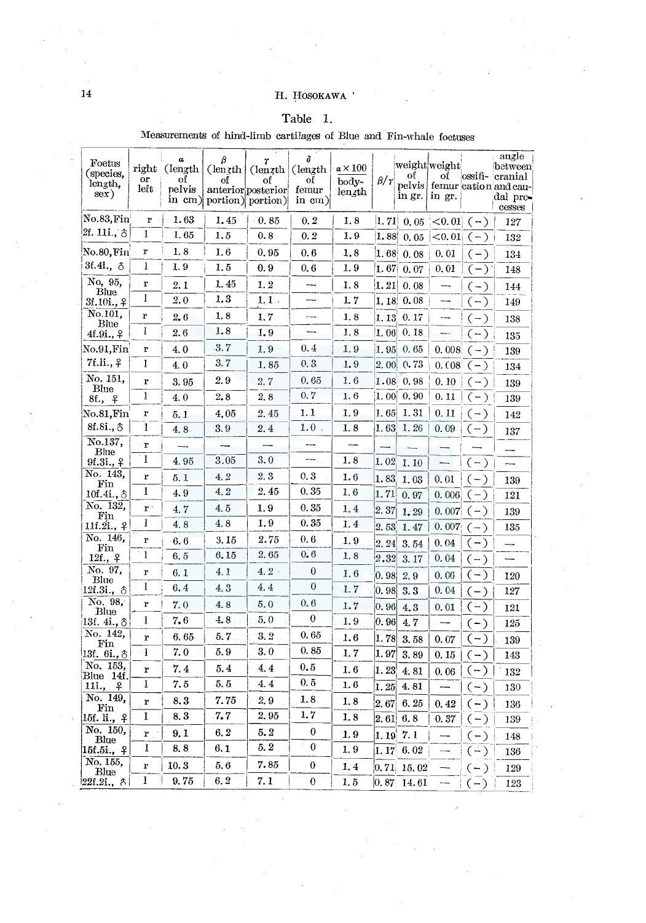# Table 1.

| Foetus<br>(species,         | right<br>or    | α<br>$($ length<br>of | β<br>$(\text{length})$ | r<br>(length)                                                                             | δ<br>(length)                    | $\alpha \times 100$          |                     | oť                   | weightweight<br>оf            |       | angle<br>between<br>ossifi-cranial                   |
|-----------------------------|----------------|-----------------------|------------------------|-------------------------------------------------------------------------------------------|----------------------------------|------------------------------|---------------------|----------------------|-------------------------------|-------|------------------------------------------------------|
| length,<br>sex)             | left           | pelvis                | of                     | of<br>anterior posterior<br>in $\lfloor$ cm $\rfloor$ portion $\lfloor$ portion $\rfloor$ | of<br>femur<br>$\mathbf{in}$ cm) | body-<br>$len$ <sub>th</sub> | $\beta/\gamma$      | in gr.               | in gr.                        |       | pelvis   femur cation and cau-<br>dal pro-<br>cesses |
| $\rm No.83,Fin$             | $\mathbf{r}$   | 1.63                  | 1.45                   | - 0. 85                                                                                   | 0.2                              | 1.8                          | 1, 71               | 0,05                 | < 0.01                        | $(-)$ | 127                                                  |
| 2f. 11i., ô                 | I              | 1.65                  | 1.5                    | 0.8                                                                                       | 0.2                              | 1.9                          | 1.88                | 0.05                 | $< 0.01 (-)$                  |       | 132                                                  |
| No.80 <b>,</b> Fin          | r              | 1.8                   | 1.6                    | 0.95                                                                                      | 0.6                              | 1.8                          | [1.68]              | 0.08                 | 0.01                          | $(-)$ | 134                                                  |
| 3f.4i., 8                   | 1              | 1.9                   | 1.5                    | 0.9                                                                                       | 0.6                              | 1.9                          | 1.67                | 0.07                 | 0.01                          | $(-)$ | 148                                                  |
| No, 95,<br>Blue             | r              | 2.1                   | 1.45                   | 1.2                                                                                       |                                  | 1.8                          | 1.21                | 0.08                 | —                             | $(-)$ | 144                                                  |
| $3f.10i.,$ $9$              | 1              | 2.0                   | 1.3                    | $1.1$ .                                                                                   |                                  | 1.7                          | 1, 18               | 0.08                 |                               | $(-)$ | 149                                                  |
| No.101.<br>Blue             | r              | 2.6                   | 1.8                    | 1.7                                                                                       |                                  | 1.8                          | 1,13                | 0.17                 |                               | $(-)$ | 138                                                  |
| 4f.9i., <del>?</del>        | 1              | 2.6                   | 1.8                    | 1.9                                                                                       |                                  | 1.8                          | 1.06                | 0.18                 |                               | $(-)$ | 135                                                  |
| $_{\rm No.91,Fin}$          | r              | 4.0                   | 3.7                    | 1.9                                                                                       | 0.4                              | 1.9                          | 1.95                | 0.65                 | 0.008                         | $(-)$ | 139                                                  |
| 7f.li., <sub>7</sub>        | 1              | 4.0                   | 3.7                    | 1.85                                                                                      | 0, 3                             | 1.9                          | 2.00                | 0.73                 | 0.08 <sup>2</sup>             | $(-)$ | 134                                                  |
| No. 151,<br>Blue            | r              | 3.95                  | 2.9                    | 2.7                                                                                       | 0.65                             | 1.6                          | 1.08                | 0.98                 | 0.10                          | $(-)$ | 139                                                  |
| 8f., f                      | 1              | 4.0                   | 2,8                    | 2.8                                                                                       | 0.7                              | 1.6                          | 1.00                | 0.90                 | 0.11                          | $(-)$ | 139                                                  |
| $_{\rm No.81,Fin}$          | r              | 5.1                   | 4,05                   | 2.45                                                                                      | 1.1                              | 1.9                          | 1.65                | 1.31                 | 0.11                          | $(-)$ | 142                                                  |
| $8f.Si., \delta$            | 1              | 4.8                   | 3.9                    | 2.4                                                                                       | 1.0                              | 1.8                          | 1.63                | 1.26                 | 0.09                          | $(-)$ | 137                                                  |
| No.137,<br>Blue             | $\mathbf{r}$   |                       | ≒                      |                                                                                           |                                  |                              |                     |                      |                               |       |                                                      |
| 9f.3i., ?                   | $\mathbf{I}$   | 4.95                  | 3.05                   | 3.0                                                                                       | $\overline{\phantom{a}}$         | 1.8                          | 1.02                | 1.10                 | -                             | $(-)$ |                                                      |
| No. 143,<br>$_{\rm Fin}$    | r              | 5.1                   | 4.2                    | 2.3                                                                                       | 0.3                              | 1.6                          | 1.83                | 1.03                 | 0.01                          | $(-)$ | 139                                                  |
| 10f.4i.,                    | 1              | 4.9                   | 4, 2                   | 2.45                                                                                      | 0.35                             | 1.6                          | 1.71                | 0.97                 | 0.006                         | $(-)$ | 121                                                  |
| No. 132,<br>Fin             | $\mathbf{r}$ : | 4.7                   | 4.5                    | 1.9                                                                                       | 0.35                             | 1.4                          | 2.37                | 1.29                 | 0.007                         | $(-)$ | 139                                                  |
| 11f.2i., 4                  | 1              | 4.8                   | 4.8                    | 1.9                                                                                       | 0.35                             | 1.4                          | 2.53                | 1.47                 | 0.007                         | $(-)$ | 135                                                  |
| No. 146,                    | r              | 6.6                   | 3.15                   | 2.75                                                                                      | 0.6                              | 1.9                          | $2.\,24$            | 3.54                 | 0.04                          | $(-)$ |                                                      |
| $_{\rm Fin}$<br>12f., 9     | I              | 6.5                   | 6.15                   | 2.65                                                                                      | 0.6                              | 1.8                          | 2.32                | 3.17                 | 0.04                          | $(-)$ |                                                      |
| No. 97,                     | $\mathbf r$    | 6.1                   | 4.1                    | $4.2 \cdot$                                                                               | $\boldsymbol{0}$                 | 1.6                          | 0.98                | 2.9                  | 0.06                          | $(-)$ | 120                                                  |
| Blue<br>$12f.3i.,$ $\delta$ | 1              | 6.4                   | 4.3                    | 4.4                                                                                       | $\boldsymbol{0}$                 | 1.7                          | 0.98                | 3.3                  | 0.04                          | $(-)$ | 127                                                  |
| No. 98,<br>Blue             | r              | 7.0                   | 4.8                    | 5.0                                                                                       | 0.6                              | 1.7                          | 0.96                | 4.3                  | 0.01                          | $(-)$ | 121                                                  |
| 13f. 4i., ô                 | 1              | 7.6                   | 4.8                    | 5.0                                                                                       | $\mathbf 0$                      | 1.9                          | 0.96                | 4.7                  |                               | $(-)$ | 125                                                  |
| No. 142,<br>Fin             | r              | 6.65                  | 5.7                    | 3.2                                                                                       | 0.65                             | 1.6                          | 1.78                | 3.58                 | 0.07                          | $(-)$ | 139                                                  |
| 13f. 6i., 8                 | 1              | 7.0                   | 5.9                    | 3.0                                                                                       | 0.85                             | 1.7                          | 1.97                | 3.89                 | 0.15                          | $(-)$ | 143                                                  |
| No. 153,                    | r              | 7.4                   | 5.4                    | 4.4                                                                                       | 0.5                              | 1.6                          | 1.23                | 4.81                 | 0.06                          | $(-)$ | 132                                                  |
| Blue 14f<br>11i.,<br>₽      | 1              | 7.5                   | 5.5                    | 4.4                                                                                       | 0, 5                             | 1.6                          | 1.25                | 4.81                 |                               | $(-)$ | 130                                                  |
| No. 149,                    | r              | 8.3                   | 7.75                   | 2.9                                                                                       | 1.8                              | 1.8                          | 2.67                | 6.25                 | 0.42                          | $(-)$ | 136                                                  |
| $_{\rm Fin}$<br>15f. li., ♀ | 1              | 8.3                   | 7.7                    | 2.95                                                                                      | 1.7                              | 1.8                          | $\left 2.\right.61$ | 6, 8                 | 0.37                          | $(-)$ | 139                                                  |
| No. 150,                    | r              | 9.1                   | 6.2                    | 5.2                                                                                       | 0                                | 1.9                          | 1.19                | 7.1                  | $\overbrace{\phantom{aaaaa}}$ | $(-)$ | 148                                                  |
| Blue<br>15f.5i.,<br>₽       | 1              | 8.8                   | 6.1                    | 5.2                                                                                       | 0                                | 1.9                          | 1.17                | $6.\,\allowbreak 02$ |                               | $(-)$ | 136                                                  |
| No. 155,                    | r              | 10.3                  | 5.6                    | 7.85                                                                                      | 0                                | 1.4                          | 0, 71               | 15.02                |                               | $(-)$ | 129                                                  |
| Blue<br>22f.2i.,<br>λ       | l              | 9.75                  | 6.2                    | 7. 1                                                                                      | 0                                | 1, 5                         | 0.87                | 14.61                |                               | $(-)$ | 123                                                  |

Measurements of hind-limb cartilages of Blue and Fin-whale foetuses